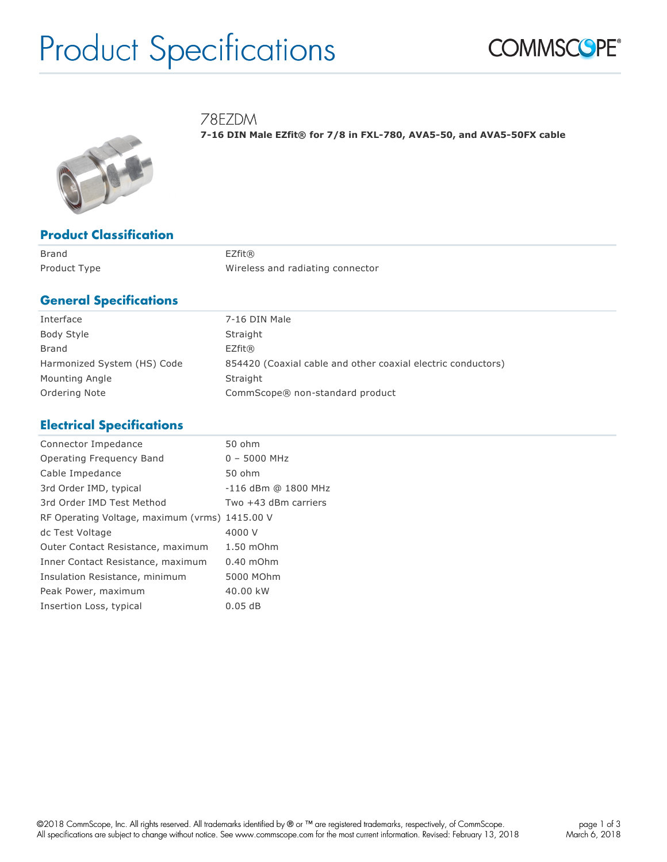# Product Specifications



78EZDM

**7-16 DIN Male EZfit® for 7/8 in FXL-780, AVA5-50, and AVA5-50FX cable**



### **Product Classification**

Brand EZfit®

Product Type **Mireless** and radiating connector

### **General Specifications**

| Interface                   | 7-16 DIN Male                                                |
|-----------------------------|--------------------------------------------------------------|
| Body Style                  | Straight                                                     |
| Brand                       | EZfit@                                                       |
| Harmonized System (HS) Code | 854420 (Coaxial cable and other coaxial electric conductors) |
| Mounting Angle              | Straight                                                     |
| Ordering Note               | CommScope® non-standard product                              |

# **Electrical Specifications**

| Connector Impedance                            | 50 ohm               |
|------------------------------------------------|----------------------|
| Operating Frequency Band                       | $0 - 5000$ MHz       |
| Cable Impedance                                | 50 ohm               |
| 3rd Order IMD, typical                         | -116 dBm @ 1800 MHz  |
| 3rd Order IMD Test Method                      | Two +43 dBm carriers |
| RF Operating Voltage, maximum (vrms) 1415.00 V |                      |
| dc Test Voltage                                | 4000 V               |
| Outer Contact Resistance, maximum              | 1.50 mOhm            |
| Inner Contact Resistance, maximum              | $0.40$ mOhm          |
| Insulation Resistance, minimum                 | 5000 MOhm            |
| Peak Power, maximum                            | 40.00 kW             |
| Insertion Loss, typical                        | 0.05dB               |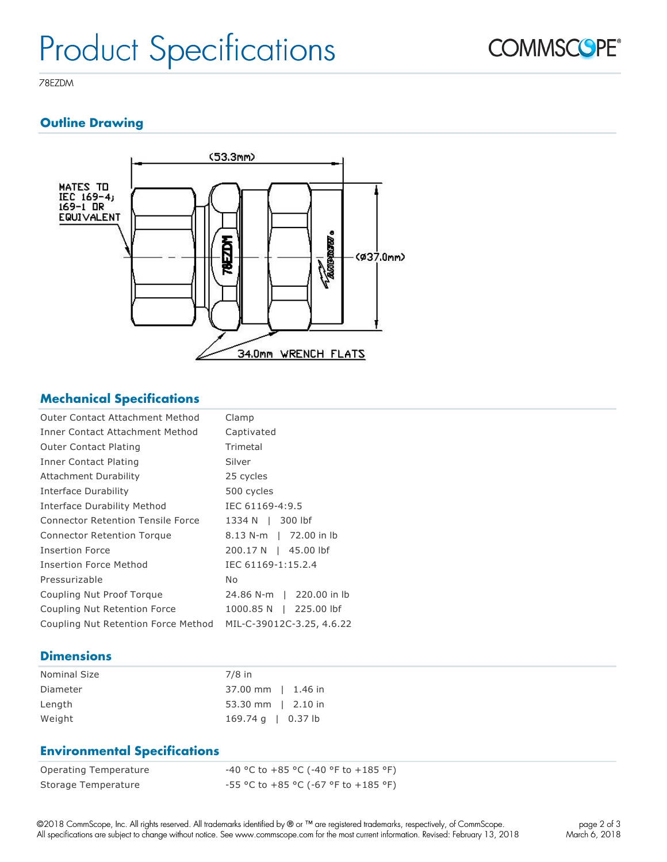

78EZDM

# **Outline Drawing**



# **Mechanical Specifications**

| Outer Contact Attachment Method          | Clamp                     |
|------------------------------------------|---------------------------|
| Inner Contact Attachment Method          | Captivated                |
| <b>Outer Contact Plating</b>             | Trimetal                  |
| Inner Contact Plating                    | Silver                    |
| <b>Attachment Durability</b>             | 25 cycles                 |
| Interface Durability                     | 500 cycles                |
| Interface Durability Method              | IEC 61169-4:9.5           |
| <b>Connector Retention Tensile Force</b> | 1334 N   300 lbf          |
| <b>Connector Retention Torque</b>        | 8.13 N-m   72.00 in lb    |
| Insertion Force                          | 200.17 N  <br>45.00 lbf   |
| <b>Insertion Force Method</b>            | IEC 61169-1:15.2.4        |
| Pressurizable                            | No                        |
| Coupling Nut Proof Torque                | 24.86 N-m   220.00 in lb  |
| Coupling Nut Retention Force             | 1000.85 N  <br>225.00 lbf |
| Coupling Nut Retention Force Method      | MIL-C-39012C-3.25, 4.6.22 |

# **Dimensions**

| <b>Nominal Size</b> | $7/8$ in                     |
|---------------------|------------------------------|
| Diameter            | 37.00 mm   1.46 in           |
| Length              | $53.30$ mm   2.10 in         |
| Weight              | $169.74 \text{ q}$   0.37 lb |

# **Environmental Specifications**

| Operating Temperature | -40 °C to +85 °C (-40 °F to +185 °F)   |
|-----------------------|----------------------------------------|
| Storage Temperature   | $-55$ °C to +85 °C (-67 °F to +185 °F) |